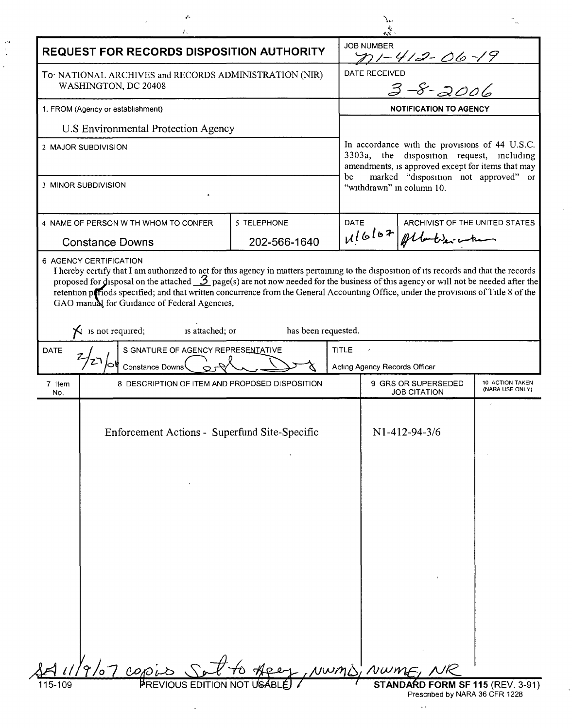|                                                                               | ê,                                                                                                                                                                                                                                                                                                                                                                                                                                                                                                                                                                     |                             |              |                                                                                                                                                                                                                             |                                                        |                                    |  |
|-------------------------------------------------------------------------------|------------------------------------------------------------------------------------------------------------------------------------------------------------------------------------------------------------------------------------------------------------------------------------------------------------------------------------------------------------------------------------------------------------------------------------------------------------------------------------------------------------------------------------------------------------------------|-----------------------------|--------------|-----------------------------------------------------------------------------------------------------------------------------------------------------------------------------------------------------------------------------|--------------------------------------------------------|------------------------------------|--|
| REQUEST FOR RECORDS DISPOSITION AUTHORITY                                     |                                                                                                                                                                                                                                                                                                                                                                                                                                                                                                                                                                        |                             |              | <b>JOB NUMBER</b>                                                                                                                                                                                                           |                                                        |                                    |  |
| To NATIONAL ARCHIVES and RECORDS ADMINISTRATION (NIR)<br>WASHINGTON, DC 20408 |                                                                                                                                                                                                                                                                                                                                                                                                                                                                                                                                                                        |                             |              | The 1-412-06-19<br>ERECEIVED<br>3-8-2006<br>DATE RECEIVED                                                                                                                                                                   |                                                        |                                    |  |
| 1. FROM (Agency or establishment)                                             |                                                                                                                                                                                                                                                                                                                                                                                                                                                                                                                                                                        |                             |              | <b>NOTIFICATION TO AGENCY</b>                                                                                                                                                                                               |                                                        |                                    |  |
|                                                                               | U.S Environmental Protection Agency                                                                                                                                                                                                                                                                                                                                                                                                                                                                                                                                    |                             |              |                                                                                                                                                                                                                             |                                                        |                                    |  |
| 2 MAJOR SUBDIVISION                                                           |                                                                                                                                                                                                                                                                                                                                                                                                                                                                                                                                                                        |                             |              | In accordance with the provisions of 44 U.S.C.<br>3303a, the disposition request, including<br>amendments, is approved except for items that may<br>marked "disposition not approved" or<br>be<br>"withdrawn" in column 10. |                                                        |                                    |  |
| 3 MINOR SUBDIVISION                                                           |                                                                                                                                                                                                                                                                                                                                                                                                                                                                                                                                                                        |                             |              |                                                                                                                                                                                                                             |                                                        |                                    |  |
| 4 NAME OF PERSON WITH WHOM TO CONFER<br><b>Constance Downs</b>                |                                                                                                                                                                                                                                                                                                                                                                                                                                                                                                                                                                        | 5 TELEPHONE<br>202-566-1640 | <b>DATE</b>  |                                                                                                                                                                                                                             | ARCHIVIST OF THE UNITED STATES<br>116/07 Albert 200 mm |                                    |  |
|                                                                               | 6 AGENCY CERTIFICATION<br>I hereby certify that I am authorized to act for this agency in matters pertaining to the disposition of its records and that the records<br>proposed for disposal on the attached $\frac{3}{2}$ page(s) are not now needed for the business of this agency or will not be needed after the<br>retention periods specified; and that written concurrence from the General Accounting Office, under the provisions of Title 8 of the<br>GAO manual for Guidance of Federal Agencies,<br>$\mathsf{\times}$ is not required;<br>is attached; or | has been requested.         |              |                                                                                                                                                                                                                             |                                                        |                                    |  |
| SIGNATURE OF AGENCY REPRESENTATIVE<br><b>DATE</b><br><b>Constance Downs</b>   |                                                                                                                                                                                                                                                                                                                                                                                                                                                                                                                                                                        |                             | <b>TITLE</b> | Acting Agency Records Officer                                                                                                                                                                                               |                                                        |                                    |  |
| 7 Item<br>No.                                                                 | 8 DESCRIPTION OF ITEM AND PROPOSED DISPOSITION                                                                                                                                                                                                                                                                                                                                                                                                                                                                                                                         |                             |              | 9 GRS OR SUPERSEDED<br><b>JOB CITATION</b>                                                                                                                                                                                  |                                                        | 10 ACTION TAKEN<br>(NARA USE ONLY) |  |
|                                                                               | Enforcement Actions - Superfund Site-Specific                                                                                                                                                                                                                                                                                                                                                                                                                                                                                                                          |                             |              | N1-412-94-3/6                                                                                                                                                                                                               |                                                        |                                    |  |
|                                                                               |                                                                                                                                                                                                                                                                                                                                                                                                                                                                                                                                                                        |                             |              |                                                                                                                                                                                                                             |                                                        |                                    |  |
|                                                                               |                                                                                                                                                                                                                                                                                                                                                                                                                                                                                                                                                                        |                             |              |                                                                                                                                                                                                                             |                                                        |                                    |  |
|                                                                               |                                                                                                                                                                                                                                                                                                                                                                                                                                                                                                                                                                        |                             |              |                                                                                                                                                                                                                             |                                                        |                                    |  |
|                                                                               |                                                                                                                                                                                                                                                                                                                                                                                                                                                                                                                                                                        |                             |              |                                                                                                                                                                                                                             |                                                        |                                    |  |

 $\epsilon$ 

 $\mathcal{L}^{\pm}$ 

 $\overline{\phantom{a}}$ 

 $\zeta\in\mathbb{R}^{n\times n}$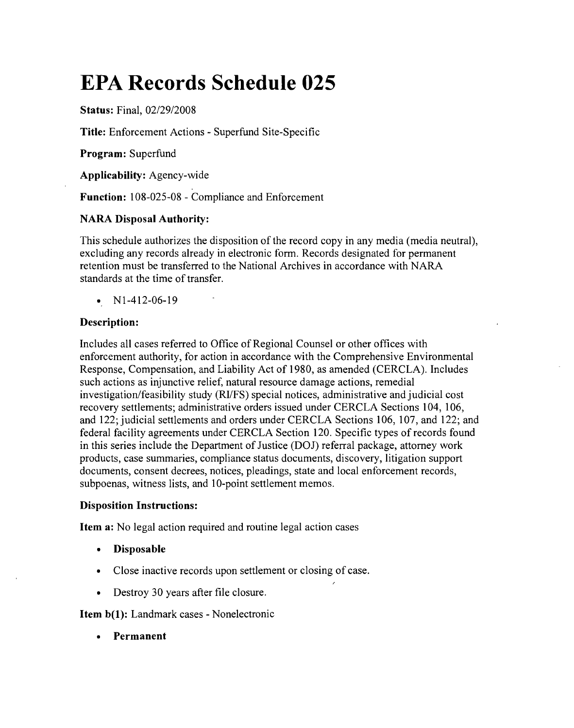# **EPA Records Schedule 025**

Status: Final, *02/29/2008*

Title: Enforcement Actions - Superfund Site-Specific

Program: Superfund

Applicability: Agency-wide

Function: 108-025-08 - Compliance and Enforcement

# NARA Disposal Authority:

This schedule authorizes the disposition of the record copy in any media (media neutral), excluding any records already in electronic form. Records designated for permanent retention must be transferred to the National Archives in accordance with NARA standards at the time of transfer.

•  $N1-412-06-19$ 

# Description:

Includes all cases referred to Office of Regional Counsel or other offices with enforcement authority, for action in accordance with the Comprehensive Environmental Response, Compensation, and Liability Act of 1980, as amended (CERCLA). Includes such actions as injunctive relief, natural resource damage actions, remedial investigation/feasibility study (RI/FS) special notices, administrative and judicial cost recovery settlements; administrative orders issued under CERCLA Sections 104, 106, and 122; judicial settlements and orders under CERCLA Sections 106,107, and 122; and federal facility agreements under CERCLA Section 120. Specific types of records found in this series include the Department of Justice (DOJ) referral package, attorney work products, case summaries, compliance status documents, discovery, litigation support documents, consent decrees, notices, pleadings, state and local enforcement records, subpoenas, witness lists, and 10-point settlement memos.

## Disposition Instructions:

Item a: No legal action required and routine legal action cases

- Disposable
- Close inactive records upon settlement or closing of case.
- Destroy 30 years after file closure.

Item b(1): Landmark cases - Nonelectronic

• Permanent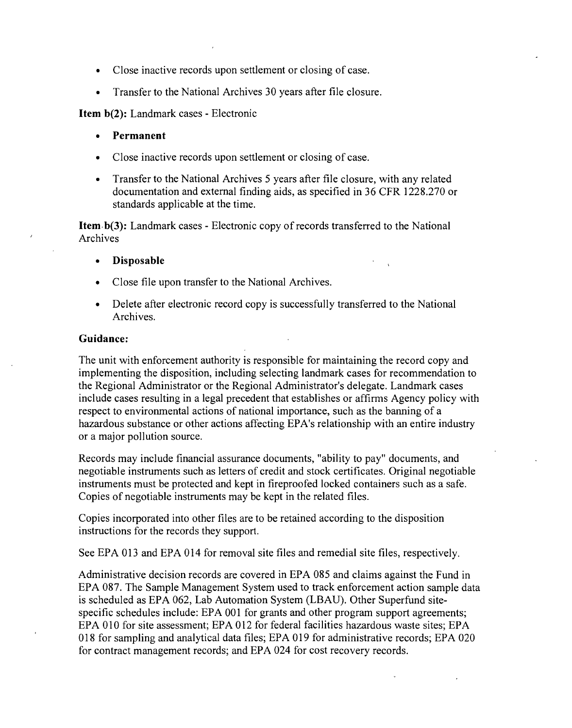- Close inactive records upon settlement or closing of case.
- Transfer to the National Archives 30 years after file closure.

**Item b(2):** Landmark cases - Electronic

- **• Permanent**
- Close inactive records upon settlement or closing of case.
- Transfer to the National Archives 5 years after file closure, with any related documentation and external finding aids, as specified in 36 CFR 1228.270 or standards applicable at the time.

Item b(3): Landmark cases - Electronic copy of records transferred to the National Archives

- **• Disposable**
- Close file upon transfer to the National Archives.
- Delete after electronic record copy is successfully transferred to the National Archives.

#### **Guidance:**

The unit with enforcement authority is responsible for maintaining the record copy and implementing the disposition, including selecting landmark cases for recommendation to the Regional Administrator or the Regional Administrator's delegate. Landmark cases include cases resulting in a legal precedent that establishes or affirms Agency policy with respect to environmental actions of national importance, such as the banning of a hazardous substance or other actions affecting EPA's relationship with an entire industry or a major pollution source.

Records may include financial assurance documents, "ability to pay" documents, and negotiable instruments such as letters of credit and stock certificates. Original negotiable instruments must be protected and kept in fireproofed locked containers such as a safe. Copies of negotiable instruments may be kept in the related files.

Copies incorporated into other files are to be retained according to the disposition instructions for the records they support.

See EPA 013 and EPA 014 for removal site files and remedial site files, respectively.

Administrative decision records are covered in EPA 085 and claims against the Fund in EPA 087. The Sample Management System used to track enforcement action sample data is scheduled as EPA 062, Lab Automation System (LBAU). Other Superfund sitespecific schedules include: EPA 001 for grants and other program support agreements; EPA 010 for site assessment; EPA 012 for federal facilities hazardous waste sites; EPA 018 for sampling and analytical data files; EPA 019 for administrative records; EPA 020 for contract management records; and EPA 024 for cost recovery records.